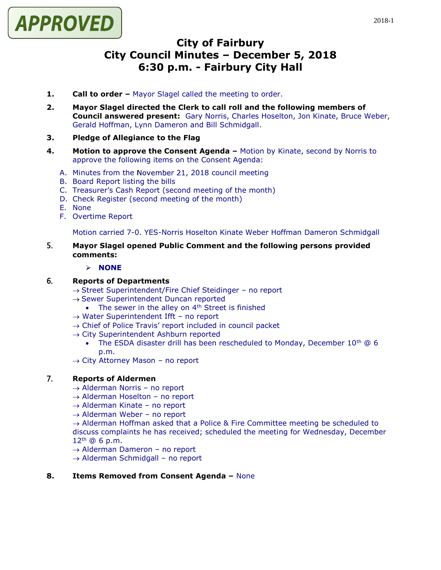

# **City of Fairbury City Council Minutes – December 5, 2018 6:30 p.m. - Fairbury City Hall**

- **1. Call to order –** Mayor Slagel called the meeting to order.
- **2. Mayor Slagel directed the Clerk to call roll and the following members of Council answered present:** Gary Norris, Charles Hoselton, Jon Kinate, Bruce Weber, Gerald Hoffman, Lynn Dameron and Bill Schmidgall.
- **3. Pledge of Allegiance to the Flag**
- **4. Motion to approve the Consent Agenda –** Motion by Kinate, second by Norris to approve the following items on the Consent Agenda:
	- A. Minutes from the November 21, 2018 council meeting
	- B. Board Report listing the bills
	- C. Treasurer's Cash Report (second meeting of the month)
	- D. Check Register (second meeting of the month)
	- E. None
	- F. Overtime Report

Motion carried 7-0. YES-Norris Hoselton Kinate Weber Hoffman Dameron Schmidgall

- 5. **Mayor Slagel opened Public Comment and the following persons provided comments:**
	- ➢ **NONE**

### 6. **Reports of Departments**

- → Street Superintendent/Fire Chief Steidinger no report
- $\rightarrow$  Sewer Superintendent Duncan reported
	- The sewer in the alley on  $4<sup>th</sup>$  Street is finished
- → Water Superintendent Ifft no report
- $\rightarrow$  Chief of Police Travis' report included in council packet
- $\rightarrow$  City Superintendent Ashburn reported
	- The ESDA disaster drill has been rescheduled to Monday, December  $10^{th}$  @ 6 p.m.
- $\rightarrow$  City Attorney Mason no report

# 7. **Reports of Aldermen**

- → Alderman Norris no report
- $\rightarrow$  Alderman Hoselton no report
- $\rightarrow$  Alderman Kinate no report
- $\rightarrow$  Alderman Weber no report

 $\rightarrow$  Alderman Hoffman asked that a Police & Fire Committee meeting be scheduled to discuss complaints he has received; scheduled the meeting for Wednesday, December  $12^{th}$  @ 6 p.m.

- $\rightarrow$  Alderman Dameron no report
- $\rightarrow$  Alderman Schmidgall no report

### **8. Items Removed from Consent Agenda –** None